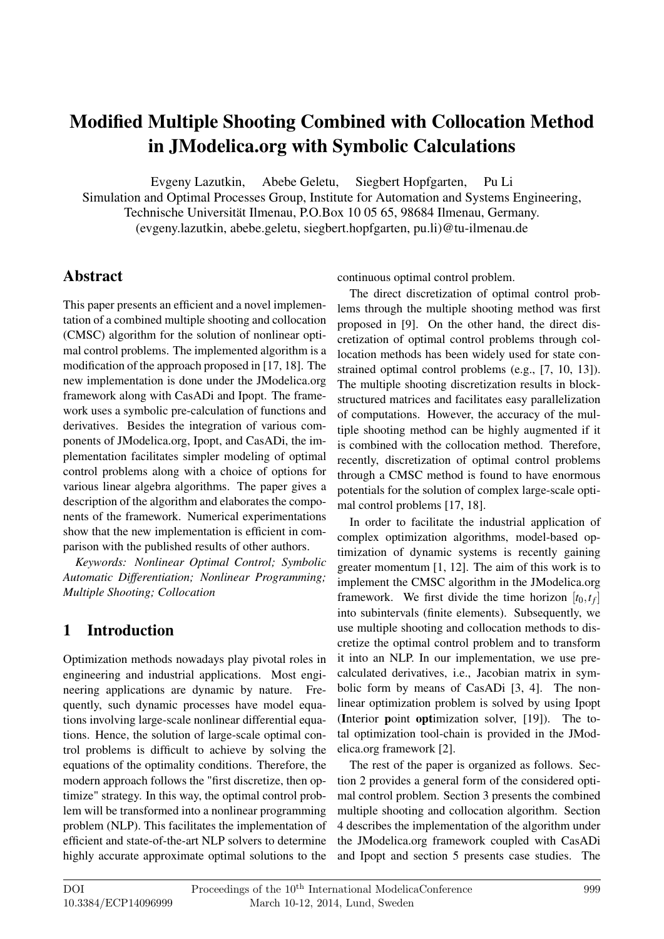# Modified Multiple Shooting Combined with Collocation Method in JModelica.org with Symbolic Calculations

Evgeny Lazutkin, Abebe Geletu, Siegbert Hopfgarten, Pu Li

Simulation and Optimal Processes Group, Institute for Automation and Systems Engineering,

Technische Universität Ilmenau, P.O.Box 10 05 65, 98684 Ilmenau, Germany.

(evgeny.lazutkin, abebe.geletu, siegbert.hopfgarten, pu.li)@tu-ilmenau.de

### Abstract

This paper presents an efficient and a novel implementation of a combined multiple shooting and collocation (CMSC) algorithm for the solution of nonlinear optimal control problems. The implemented algorithm is a modification of the approach proposed in [17, 18]. The new implementation is done under the JModelica.org framework along with CasADi and Ipopt. The framework uses a symbolic pre-calculation of functions and derivatives. Besides the integration of various components of JModelica.org, Ipopt, and CasADi, the implementation facilitates simpler modeling of optimal control problems along with a choice of options for various linear algebra algorithms. The paper gives a description of the algorithm and elaborates the components of the framework. Numerical experimentations show that the new implementation is efficient in comparison with the published results of other authors.

*Keywords: Nonlinear Optimal Control; Symbolic Automatic Differentiation; Nonlinear Programming; Multiple Shooting; Collocation*

## 1 Introduction

Optimization methods nowadays play pivotal roles in engineering and industrial applications. Most engineering applications are dynamic by nature. Frequently, such dynamic processes have model equations involving large-scale nonlinear differential equations. Hence, the solution of large-scale optimal control problems is difficult to achieve by solving the equations of the optimality conditions. Therefore, the modern approach follows the "first discretize, then optimize" strategy. In this way, the optimal control problem will be transformed into a nonlinear programming problem (NLP). This facilitates the implementation of efficient and state-of-the-art NLP solvers to determine highly accurate approximate optimal solutions to the continuous optimal control problem.

The direct discretization of optimal control problems through the multiple shooting method was first proposed in [9]. On the other hand, the direct discretization of optimal control problems through collocation methods has been widely used for state constrained optimal control problems (e.g., [7, 10, 13]). The multiple shooting discretization results in blockstructured matrices and facilitates easy parallelization of computations. However, the accuracy of the multiple shooting method can be highly augmented if it is combined with the collocation method. Therefore, recently, discretization of optimal control problems through a CMSC method is found to have enormous potentials for the solution of complex large-scale optimal control problems [17, 18].

In order to facilitate the industrial application of complex optimization algorithms, model-based optimization of dynamic systems is recently gaining greater momentum [1, 12]. The aim of this work is to implement the CMSC algorithm in the JModelica.org framework. We first divide the time horizon  $[t_0, t_f]$ into subintervals (finite elements). Subsequently, we use multiple shooting and collocation methods to discretize the optimal control problem and to transform it into an NLP. In our implementation, we use precalculated derivatives, i.e., Jacobian matrix in symbolic form by means of CasADi [3, 4]. The nonlinear optimization problem is solved by using Ipopt (Interior point optimization solver, [19]). The total optimization tool-chain is provided in the JModelica.org framework [2].

The rest of the paper is organized as follows. Section 2 provides a general form of the considered optimal control problem. Section 3 presents the combined multiple shooting and collocation algorithm. Section 4 describes the implementation of the algorithm under the JModelica.org framework coupled with CasADi and Ipopt and section 5 presents case studies. The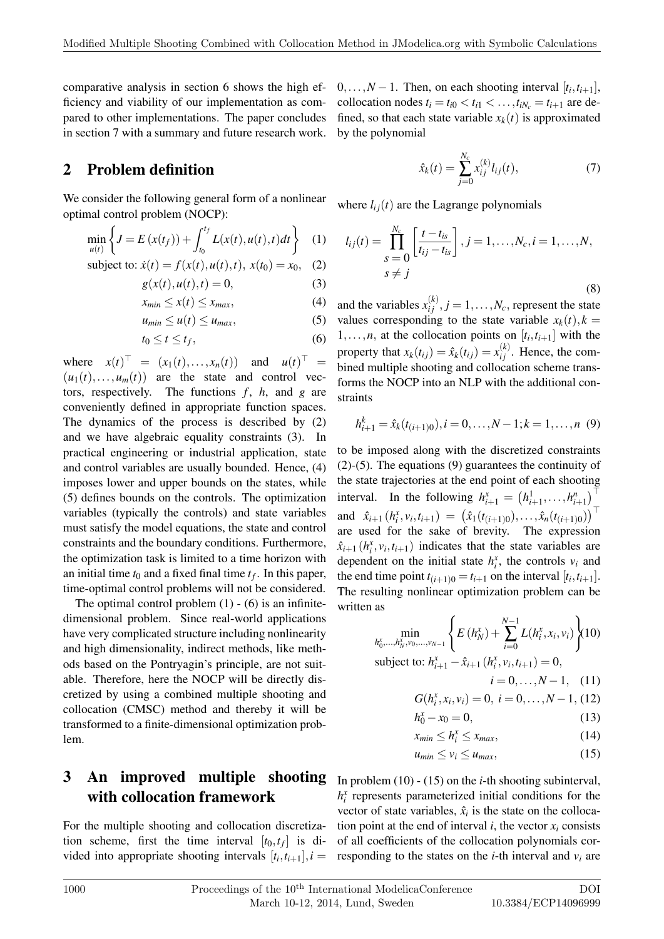comparative analysis in section 6 shows the high efficiency and viability of our implementation as compared to other implementations. The paper concludes in section 7 with a summary and future research work.

### 2 Problem definition

We consider the following general form of a nonlinear optimal control problem (NOCP):

$$
\min_{u(t)} \left\{ J = E(x(t_f)) + \int_{t_0}^{t_f} L(x(t), u(t), t) dt \right\} (1)
$$

subject to: 
$$
\dot{x}(t) = f(x(t), u(t), t), x(t_0) = x_0,
$$
 (2)

$$
g(x(t), u(t), t) = 0,\t(3)
$$

$$
x_{min} \le x(t) \le x_{max},\tag{4}
$$

$$
u_{min} \le u(t) \le u_{max},\tag{5}
$$

$$
t_0 \le t \le t_f,\tag{6}
$$

where  $x(t)^{-1} = (x_1(t),...,x_n(t))$  and  $u(t)^{-1} =$  $(u_1(t),...,u_m(t))$  are the state and control vectors, respectively. The functions  $f$ ,  $h$ , and  $g$  are conveniently defined in appropriate function spaces. The dynamics of the process is described by (2) and we have algebraic equality constraints (3). In practical engineering or industrial application, state and control variables are usually bounded. Hence, (4) imposes lower and upper bounds on the states, while (5) defines bounds on the controls. The optimization variables (typically the controls) and state variables must satisfy the model equations, the state and control constraints and the boundary conditions. Furthermore, the optimization task is limited to a time horizon with an initial time  $t_0$  and a fixed final time  $t_f$ . In this paper, time-optimal control problems will not be considered.

The optimal control problem  $(1)$  -  $(6)$  is an infinitedimensional problem. Since real-world applications have very complicated structure including nonlinearity and high dimensionality, indirect methods, like methods based on the Pontryagin's principle, are not suitable. Therefore, here the NOCP will be directly discretized by using a combined multiple shooting and collocation (CMSC) method and thereby it will be transformed to a finite-dimensional optimization problem.

### 3 An improved multiple shooting with collocation framework

For the multiple shooting and collocation discretization scheme, first the time interval  $[t_0, t_f]$  is divided into appropriate shooting intervals  $[t_i, t_{i+1}], i =$ 

 $0, \ldots, N-1$ . Then, on each shooting interval  $[t_i, t_{i+1}]$ , collocation nodes  $t_i = t_{i0} < t_{i1} < \ldots, t_{iN_c} = t_{i+1}$  are defined, so that each state variable  $x_k(t)$  is approximated by the polynomial

$$
\hat{x}_k(t) = \sum_{j=0}^{N_c} x_{ij}^{(k)} l_{ij}(t),
$$
\n(7)

where  $l_{ij}(t)$  are the Lagrange polynomials

$$
l_{ij}(t) = \prod_{s=0}^{N_c} \left[ \frac{t - t_{is}}{t_{ij} - t_{is}} \right], j = 1, ..., N_c, i = 1, ..., N,
$$
  
 
$$
s \neq j
$$
 (8)

and the variables  $x_{ij}^{(k)}$ ,  $j = 1, ..., N_c$ , represent the state values corresponding to the state variable  $x_k(t)$ ,  $k =$  $1, \ldots, n$ , at the collocation points on  $[t_i, t_{i+1}]$  with the property that  $x_k(t_{ij}) = \hat{x}_k(t_{ij}) = x_{ij}^{(k)}$ . Hence, the combined multiple shooting and collocation scheme transforms the NOCP into an NLP with the additional constraints

$$
h_{i+1}^k = \hat{x}_k(t_{(i+1)0}), i = 0, \dots, N-1; k = 1, \dots, n \tag{9}
$$

to be imposed along with the discretized constraints (2)-(5). The equations (9) guarantees the continuity of the state trajectories at the end point of each shooting interval. In the following  $h_{i+1}^x = (h_{i+1}^1, ..., h_{i+1}^n)^{\top}$ and  $\hat{x}_{i+1}$   $(h_i^x, v_i, t_{i+1}) = (\hat{x}_1(t_{(i+1)0}), \dots, \hat{x}_n(t_{(i+1)0}))$ are used for the sake of brevity. The expression  $\hat{x}_{i+1}$  ( $h_i^x$ ,  $v_i$ ,  $t_{i+1}$ ) indicates that the state variables are dependent on the initial state  $h_i^x$ , the controls  $v_i$  and the end time point  $t_{(i+1)0} = t_{i+1}$  on the interval  $[t_i, t_{i+1}]$ . The resulting nonlinear optimization problem can be written as

$$
\min_{h_0^x, \dots, h_N^x, v_0, \dots, v_{N-1}} \left\{ E\left(h_N^x\right) + \sum_{i=0}^{N-1} L(h_i^x, x_i, v_i) \right\} (10)
$$
\nsubject to: 
$$
h_{i+1}^x - \hat{x}_{i+1} \left(h_i^x, v_i, t_{i+1}\right) = 0,
$$

$$
i=0,\ldots,N-1,\quad(11)
$$

$$
G(h_i^x, x_i, v_i) = 0, \ i = 0, \dots, N-1, (12)
$$

$$
h_0^x - x_0 = 0,\t(13)
$$

$$
x_{min} \le h_i^x \le x_{max},\tag{14}
$$

$$
u_{min} \le v_i \le u_{max},\tag{15}
$$

In problem (10) - (15) on the *i*-th shooting subinterval,  $h_i^x$  represents parameterized initial conditions for the vector of state variables,  $\hat{x}_i$  is the state on the collocation point at the end of interval  $i$ , the vector  $x_i$  consists of all coefficients of the collocation polynomials corresponding to the states on the *i*-th interval and  $v_i$  are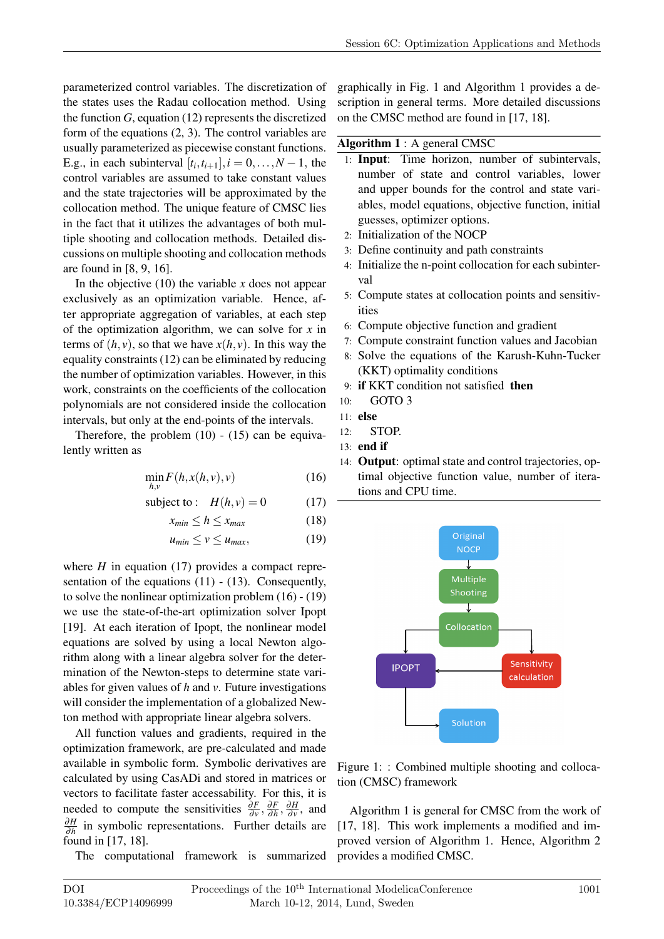parameterized control variables. The discretization of the states uses the Radau collocation method. Using the function *G*, equation (12) represents the discretized form of the equations (2, 3). The control variables are usually parameterized as piecewise constant functions. E.g., in each subinterval  $[t_i, t_{i+1}], i = 0, \ldots, N-1$ , the control variables are assumed to take constant values and the state trajectories will be approximated by the collocation method. The unique feature of CMSC lies in the fact that it utilizes the advantages of both multiple shooting and collocation methods. Detailed discussions on multiple shooting and collocation methods are found in [8, 9, 16].

In the objective  $(10)$  the variable x does not appear exclusively as an optimization variable. Hence, after appropriate aggregation of variables, at each step of the optimization algorithm, we can solve for *x* in terms of  $(h, v)$ , so that we have  $x(h, v)$ . In this way the equality constraints (12) can be eliminated by reducing the number of optimization variables. However, in this work, constraints on the coefficients of the collocation polynomials are not considered inside the collocation intervals, but only at the end-points of the intervals.

Therefore, the problem  $(10)$  -  $(15)$  can be equivalently written as

$$
\min_{h,v} F(h, x(h, v), v) \tag{16}
$$

subject to: 
$$
H(h, v) = 0
$$
 (17)

$$
x_{min} \le h \le x_{max} \tag{18}
$$

$$
u_{min} \le v \le u_{max}, \tag{19}
$$

where  $H$  in equation (17) provides a compact representation of the equations  $(11)$  -  $(13)$ . Consequently, to solve the nonlinear optimization problem (16) - (19) we use the state-of-the-art optimization solver Ipopt [19]. At each iteration of Ipopt, the nonlinear model equations are solved by using a local Newton algorithm along with a linear algebra solver for the determination of the Newton-steps to determine state variables for given values of *h* and *v*. Future investigations will consider the implementation of a globalized Newton method with appropriate linear algebra solvers.

All function values and gradients, required in the optimization framework, are pre-calculated and made available in symbolic form. Symbolic derivatives are calculated by using CasADi and stored in matrices or vectors to facilitate faster accessability. For this, it is needed to compute the sensitivities  $\frac{\partial F}{\partial v}$ ,  $\frac{\partial F}{\partial h}$ ∂*h* , ∂*H*  $\frac{\partial H}{\partial v}$ , and ∂*H* ∂*h* in symbolic representations. Further details are found in [17, 18].

The computational framework is summarized

graphically in Fig. 1 and Algorithm 1 provides a description in general terms. More detailed discussions on the CMSC method are found in [17, 18].

#### Algorithm 1 : A general CMSC

- 1: Input: Time horizon, number of subintervals, number of state and control variables, lower and upper bounds for the control and state variables, model equations, objective function, initial guesses, optimizer options.
- 2: Initialization of the NOCP
- 3: Define continuity and path constraints
- 4: Initialize the n-point collocation for each subinterval
- 5: Compute states at collocation points and sensitivities
- 6: Compute objective function and gradient
- 7: Compute constraint function values and Jacobian
- 8: Solve the equations of the Karush-Kuhn-Tucker (KKT) optimality conditions
- 9: if KKT condition not satisfied then
- 10: GOTO 3
- 11: else
- 12: STOP.
- 13: end if
- 14: Output: optimal state and control trajectories, optimal objective function value, number of iterations and CPU time.



Figure 1: : Combined multiple shooting and collocation (CMSC) framework

Algorithm 1 is general for CMSC from the work of [17, 18]. This work implements a modified and improved version of Algorithm 1. Hence, Algorithm 2 provides a modified CMSC.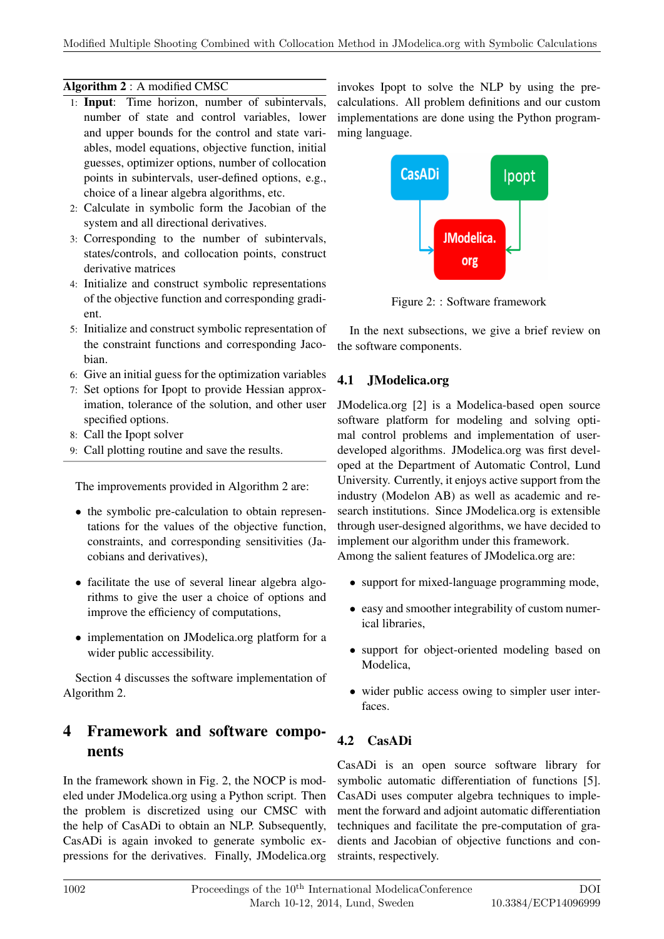#### Algorithm 2 : A modified CMSC

- 1: Input: Time horizon, number of subintervals, number of state and control variables, lower and upper bounds for the control and state variables, model equations, objective function, initial guesses, optimizer options, number of collocation points in subintervals, user-defined options, e.g., choice of a linear algebra algorithms, etc.
- 2: Calculate in symbolic form the Jacobian of the system and all directional derivatives.
- 3: Corresponding to the number of subintervals, states/controls, and collocation points, construct derivative matrices
- 4: Initialize and construct symbolic representations of the objective function and corresponding gradient.
- 5: Initialize and construct symbolic representation of the constraint functions and corresponding Jacobian.
- 6: Give an initial guess for the optimization variables
- 7: Set options for Ipopt to provide Hessian approximation, tolerance of the solution, and other user specified options.
- 8: Call the Ipopt solver
- 9: Call plotting routine and save the results.

The improvements provided in Algorithm 2 are:

- the symbolic pre-calculation to obtain representations for the values of the objective function, constraints, and corresponding sensitivities (Jacobians and derivatives),
- facilitate the use of several linear algebra algorithms to give the user a choice of options and improve the efficiency of computations,
- implementation on JModelica.org platform for a wider public accessibility.

Section 4 discusses the software implementation of Algorithm 2.

## 4 Framework and software components

In the framework shown in Fig. 2, the NOCP is modeled under JModelica.org using a Python script. Then the problem is discretized using our CMSC with the help of CasADi to obtain an NLP. Subsequently, CasADi is again invoked to generate symbolic expressions for the derivatives. Finally, JModelica.org invokes Ipopt to solve the NLP by using the precalculations. All problem definitions and our custom implementations are done using the Python programming language.



Figure 2: : Software framework

In the next subsections, we give a brief review on the software components.

#### 4.1 JModelica.org

JModelica.org [2] is a Modelica-based open source software platform for modeling and solving optimal control problems and implementation of userdeveloped algorithms. JModelica.org was first developed at the Department of Automatic Control, Lund University. Currently, it enjoys active support from the industry (Modelon AB) as well as academic and research institutions. Since JModelica.org is extensible through user-designed algorithms, we have decided to implement our algorithm under this framework. Among the salient features of JModelica.org are:

- support for mixed-language programming mode,
- easy and smoother integrability of custom numerical libraries,
- support for object-oriented modeling based on Modelica,
- wider public access owing to simpler user interfaces.

#### 4.2 CasADi

CasADi is an open source software library for symbolic automatic differentiation of functions [5]. CasADi uses computer algebra techniques to implement the forward and adjoint automatic differentiation techniques and facilitate the pre-computation of gradients and Jacobian of objective functions and constraints, respectively.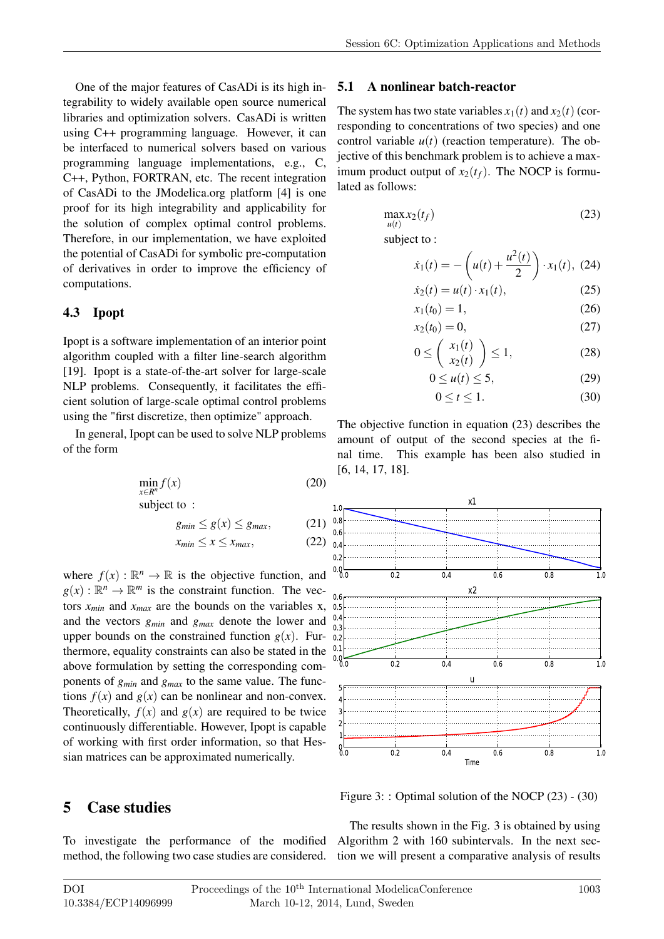One of the major features of CasADi is its high integrability to widely available open source numerical libraries and optimization solvers. CasADi is written using C++ programming language. However, it can be interfaced to numerical solvers based on various programming language implementations, e.g., C, C++, Python, FORTRAN, etc. The recent integration of CasADi to the JModelica.org platform [4] is one proof for its high integrability and applicability for the solution of complex optimal control problems. Therefore, in our implementation, we have exploited the potential of CasADi for symbolic pre-computation of derivatives in order to improve the efficiency of computations.

#### 4.3 Ipopt

Ipopt is a software implementation of an interior point algorithm coupled with a filter line-search algorithm [19]. Ipopt is a state-of-the-art solver for large-scale NLP problems. Consequently, it facilitates the efficient solution of large-scale optimal control problems using the "first discretize, then optimize" approach.

In general, Ipopt can be used to solve NLP problems of the form

$$
\min_{x \in R^n} f(x) \tag{20}
$$

subject to :

$$
g_{min} \le g(x) \le g_{max}, \qquad (21)
$$
  

$$
x_{min} \le x \le x_{max}, \qquad (22)
$$

where  $f(x) : \mathbb{R}^n \to \mathbb{R}$  is the objective function, and  $g(x): \mathbb{R}^n \to \mathbb{R}^m$  is the constraint function. The vectors  $x_{min}$  and  $x_{max}$  are the bounds on the variables x, and the vectors *gmin* and *gmax* denote the lower and upper bounds on the constrained function  $g(x)$ . Furthermore, equality constraints can also be stated in the above formulation by setting the corresponding components of *gmin* and *gmax* to the same value. The functions  $f(x)$  and  $g(x)$  can be nonlinear and non-convex. Theoretically,  $f(x)$  and  $g(x)$  are required to be twice continuously differentiable. However, Ipopt is capable of working with first order information, so that Hessian matrices can be approximated numerically.

### 5 Case studies

To investigate the performance of the modified Algorithm 2 with 160 subintervals. In the next sec-

#### 5.1 A nonlinear batch-reactor

The system has two state variables  $x_1(t)$  and  $x_2(t)$  (corresponding to concentrations of two species) and one control variable  $u(t)$  (reaction temperature). The objective of this benchmark problem is to achieve a maximum product output of  $x_2(t_f)$ . The NOCP is formulated as follows:

$$
\max_{u(t)} x_2(t_f) \tag{23}
$$

subject to :

$$
\dot{x}_1(t) = -\left(u(t) + \frac{u^2(t)}{2}\right) \cdot x_1(t), \ (24)
$$

$$
\dot{x}_2(t) = u(t) \cdot x_1(t),\tag{25}
$$
\n
$$
x_1(t_0) = 1\tag{26}
$$

$$
x_1(t_0) = 1,
$$
 (20)  

$$
x_2(t_0) = 0.
$$
 (27)

$$
0 \leq \left(\begin{array}{c} x_1(t) \\ x_2(t) \end{array}\right) \leq 1,\tag{28}
$$

$$
0 \le u(t) \le 5, \tag{29}
$$

$$
0 \le t \le 1. \tag{30}
$$

The objective function in equation (23) describes the amount of output of the second species at the final time. This example has been also studied in [6, 14, 17, 18].

 $\left(x_2(t)\right)$ 



Figure 3: : Optimal solution of the NOCP (23) - (30)

method, the following two case studies are considered. tion we will present a comparative analysis of results The results shown in the Fig. 3 is obtained by using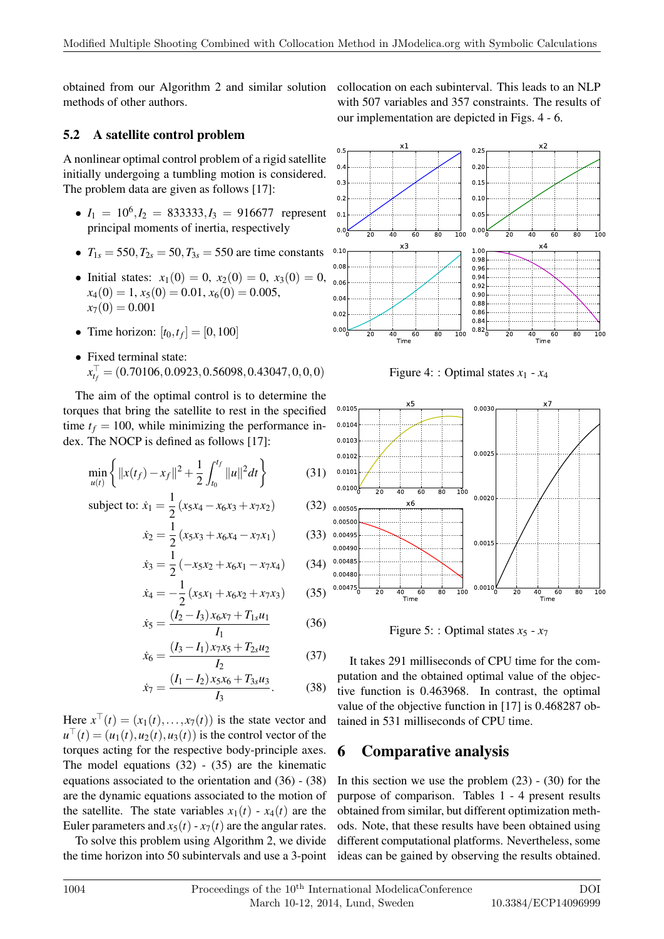obtained from our Algorithm 2 and similar solution methods of other authors.

#### 5.2 A satellite control problem

A nonlinear optimal control problem of a rigid satellite initially undergoing a tumbling motion is considered. The problem data are given as follows [17]:

- $I_1 = 10^6$ ,  $I_2 = 833333$ ,  $I_3 = 916677$  represent principal moments of inertia, respectively
- $T_{1s} = 550, T_{2s} = 50, T_{3s} = 550$  are time constants
- Initial states:  $x_1(0) = 0$ ,  $x_2(0) = 0$ ,  $x_3(0) = 0$ ,  $x_4(0) = 1, x_5(0) = 0.01, x_6(0) = 0.005,$  $x_7(0) = 0.001$
- Time horizon:  $[t_0, t_f] = [0, 100]$
- Fixed terminal state: *x* > *<sup>t</sup><sup>f</sup>* = (0.70106,0.0923,0.56098,0.43047,0,0,0)

The aim of the optimal control is to determine the torques that bring the satellite to rest in the specified time  $t_f = 100$ , while minimizing the performance index. The NOCP is defined as follows [17]:

$$
\min_{u(t)} \left\{ ||x(t_f) - x_f||^2 + \frac{1}{2} \int_{t_0}^{t_f} ||u||^2 dt \right\}
$$
 (31)

subject to: 
$$
\dot{x}_1 = \frac{1}{2} (x_5x_4 - x_6x_3 + x_7x_2)
$$
 (32)

$$
\dot{x}_2 = \frac{1}{2} \left( x_5 x_3 + x_6 x_4 - x_7 x_1 \right) \tag{33}
$$

$$
\dot{x}_3 = \frac{1}{2} \left( -x_5 x_2 + x_6 x_1 - x_7 x_4 \right) \tag{34}
$$

$$
\dot{x}_4 = -\frac{1}{2} \left( x_5 x_1 + x_6 x_2 + x_7 x_3 \right) \tag{35}
$$

$$
\dot{x}_5 = \frac{(I_2 - I_3)x_6x_7 + T_{1s}u_1}{I_1} \tag{36}
$$

$$
\dot{x}_6 = \frac{(I_3 - I_1)x_7x_5 + T_{2s}u_2}{I_2} \tag{37}
$$

$$
\dot{x}_7 = \frac{(I_1 - I_2)x_5x_6 + T_{3s}u_3}{I_3}.
$$
 (38)

Here  $x^{\dagger}(t) = (x_1(t),...,x_7(t))$  is the state vector and  $u^{\dagger}(t) = (u_1(t), u_2(t), u_3(t))$  is the control vector of the torques acting for the respective body-principle axes. The model equations  $(32)$  -  $(35)$  are the kinematic equations associated to the orientation and (36) - (38) are the dynamic equations associated to the motion of the satellite. The state variables  $x_1(t) - x_4(t)$  are the Euler parameters and  $x_5(t) - x_7(t)$  are the angular rates.

To solve this problem using Algorithm 2, we divide the time horizon into 50 subintervals and use a 3-point collocation on each subinterval. This leads to an NLP with 507 variables and 357 constraints. The results of our implementation are depicted in Figs. 4 - 6.



Figure 4: : Optimal states  $x_1 - x_4$ 



Figure 5:: Optimal states  $x_5 - x_7$ 

It takes 291 milliseconds of CPU time for the computation and the obtained optimal value of the objective function is 0.463968. In contrast, the optimal value of the objective function in [17] is 0.468287 obtained in 531 milliseconds of CPU time.

## 6 Comparative analysis

In this section we use the problem  $(23)$  -  $(30)$  for the purpose of comparison. Tables 1 - 4 present results obtained from similar, but different optimization methods. Note, that these results have been obtained using different computational platforms. Nevertheless, some ideas can be gained by observing the results obtained.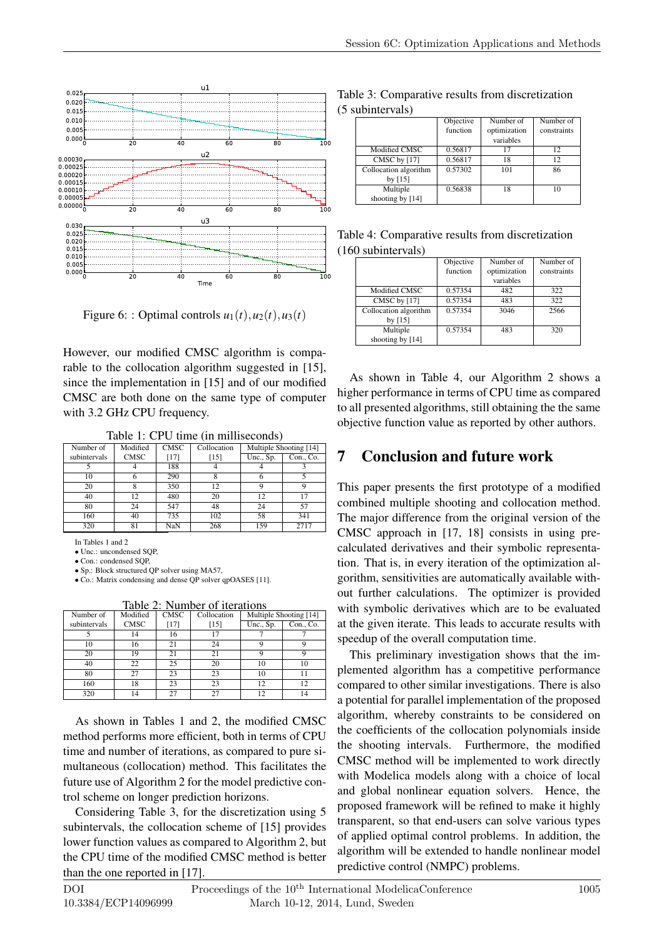

Figure 6:: Optimal controls  $u_1(t), u_2(t), u_3(t)$ 

However, our modified CMSC algorithm is comparable to the collocation algorithm suggested in [15], since the implementation in [15] and of our modified CMSC are both done on the same type of computer with 3.2 GHz CPU frequency.

Table 1: CPU time (in milliseconds)

| Number of    | Modified    | <b>CMSC</b> | Collocation | Multiple Shooting [14] |                                |
|--------------|-------------|-------------|-------------|------------------------|--------------------------------|
| subintervals | <b>CMSC</b> | $[17]$      | $[15]$      | Unc., Sp.              | $\overline{\text{Con.}}$ , Co. |
|              |             | 188         |             |                        |                                |
| 10           |             | 290         |             |                        |                                |
| 20           |             | 350         | 12          |                        |                                |
| 40           | 12          | 480         | 20          | 12                     | 17                             |
| 80           | 24          | 547         | 48          | 24                     | 57                             |
| 160          | 40          | 735         | 102         | 58                     | 341                            |
| 320          | 81          | NaN         | 268         | 159                    | 2717                           |

In Tables 1 and 2

• Unc.: uncondensed SQP,

• Con.: condensed SOP,

• Sp.: Block structured OP solver using MA57 • Co.: Matrix condensing and dense QP solver qpOASES [11].

Table 2: Number of iterations

| $10010 - 11011001 - 1001001010$ |             |             |             |                        |           |
|---------------------------------|-------------|-------------|-------------|------------------------|-----------|
| Number of                       | Modified    | <b>CMSC</b> | Collocation | Multiple Shooting [14] |           |
| subintervals                    | <b>CMSC</b> | $[17]$      | [15]        | Unc., Sp.              | Con., Co. |
|                                 | 14          | 16          |             |                        |           |
| 10                              | 16          | 21          | 24          |                        |           |
| 20                              | 19          | 21          | 21          | a                      |           |
| 40                              | 22          | 25          | 20          | 10                     | 10        |
| 80                              | 27          | 23          | 23          | 10                     | 11        |
| 160                             | 18          | 23          | 23          | 12                     | 12        |
| 320                             | 14          | 27          | າາ          | 12                     | 14        |

As shown in Tables 1 and 2, the modified CMSC method performs more efficient, both in terms of CPU time and number of iterations, as compared to pure simultaneous (collocation) method. This facilitates the future use of Algorithm 2 for the model predictive control scheme on longer prediction horizons.

Considering Table 3, for the discretization using 5 subintervals, the collocation scheme of [15] provides lower function values as compared to Algorithm 2, but the CPU time of the modified CMSC method is better than the one reported in [17].

| Table 3: Comparative results from discretization |  |  |
|--------------------------------------------------|--|--|
| (5 subintervals)                                 |  |  |

|                       | Objective | Number of    | Number of   |
|-----------------------|-----------|--------------|-------------|
|                       | function  | optimization | constraints |
|                       |           | variables    |             |
| Modified CMSC         | 0.56817   | 17           | 12          |
| CMSC by [17]          | 0.56817   | 18           | 12.         |
| Collocation algorithm | 0.57302   | 101          | 86          |
| by $[15]$             |           |              |             |
| Multiple              | 0.56838   | 18           | 10          |
| shooting by [14]      |           |              |             |

| Table 4: Comparative results from discretization |  |
|--------------------------------------------------|--|
| (160 subintervals)                               |  |

|                       | Objective | Number of    | Number of   |
|-----------------------|-----------|--------------|-------------|
|                       | function  | optimization | constraints |
|                       |           | variables    |             |
| Modified CMSC         | 0.57354   | 482          | 322         |
| CMSC by [17]          | 0.57354   | 483          | 322         |
| Collocation algorithm | 0.57354   | 3046         | 2566        |
| by $[15]$             |           |              |             |
| Multiple              | 0.57354   | 483          | 320         |
| shooting by [14]      |           |              |             |

As shown in Table 4, our Algorithm 2 shows a higher performance in terms of CPU time as compared to all presented algorithms, still obtaining the the same objective function value as reported by other authors.

### 7 Conclusion and future work

This paper presents the first prototype of a modified combined multiple shooting and collocation method. The major difference from the original version of the CMSC approach in [17, 18] consists in using precalculated derivatives and their symbolic representation. That is, in every iteration of the optimization algorithm, sensitivities are automatically available without further calculations. The optimizer is provided with symbolic derivatives which are to be evaluated at the given iterate. This leads to accurate results with speedup of the overall computation time.

This preliminary investigation shows that the implemented algorithm has a competitive performance compared to other similar investigations. There is also a potential for parallel implementation of the proposed algorithm, whereby constraints to be considered on the coefficients of the collocation polynomials inside the shooting intervals. Furthermore, the modified CMSC method will be implemented to work directly with Modelica models along with a choice of local and global nonlinear equation solvers. Hence, the proposed framework will be refined to make it highly transparent, so that end-users can solve various types of applied optimal control problems. In addition, the algorithm will be extended to handle nonlinear model predictive control (NMPC) problems.